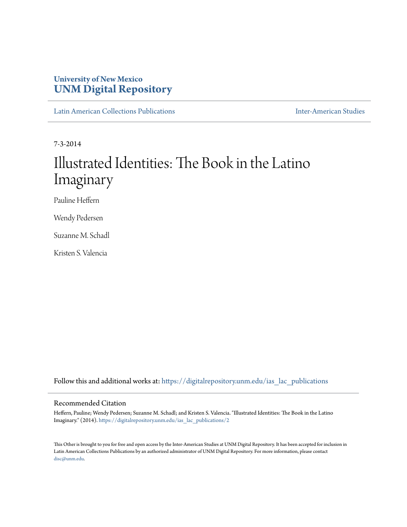## **University of New Mexico [UNM Digital Repository](https://digitalrepository.unm.edu?utm_source=digitalrepository.unm.edu%2Fias_lac_publications%2F2&utm_medium=PDF&utm_campaign=PDFCoverPages)**

[Latin American Collections Publications](https://digitalrepository.unm.edu/ias_lac_publications?utm_source=digitalrepository.unm.edu%2Fias_lac_publications%2F2&utm_medium=PDF&utm_campaign=PDFCoverPages) [Inter-American Studies](https://digitalrepository.unm.edu/ias?utm_source=digitalrepository.unm.edu%2Fias_lac_publications%2F2&utm_medium=PDF&utm_campaign=PDFCoverPages)

7-3-2014

## Illustrated Identities: The Book in the Latino Imaginary

Pauline Heffern

Wendy Pedersen

Suzanne M. Schadl

Kristen S. Valencia

Follow this and additional works at: [https://digitalrepository.unm.edu/ias\\_lac\\_publications](https://digitalrepository.unm.edu/ias_lac_publications?utm_source=digitalrepository.unm.edu%2Fias_lac_publications%2F2&utm_medium=PDF&utm_campaign=PDFCoverPages)

## Recommended Citation

Heffern, Pauline; Wendy Pedersen; Suzanne M. Schadl; and Kristen S. Valencia. "Illustrated Identities: The Book in the Latino Imaginary." (2014). [https://digitalrepository.unm.edu/ias\\_lac\\_publications/2](https://digitalrepository.unm.edu/ias_lac_publications/2?utm_source=digitalrepository.unm.edu%2Fias_lac_publications%2F2&utm_medium=PDF&utm_campaign=PDFCoverPages)

This Other is brought to you for free and open access by the Inter-American Studies at UNM Digital Repository. It has been accepted for inclusion in Latin American Collections Publications by an authorized administrator of UNM Digital Repository. For more information, please contact [disc@unm.edu](mailto:disc@unm.edu).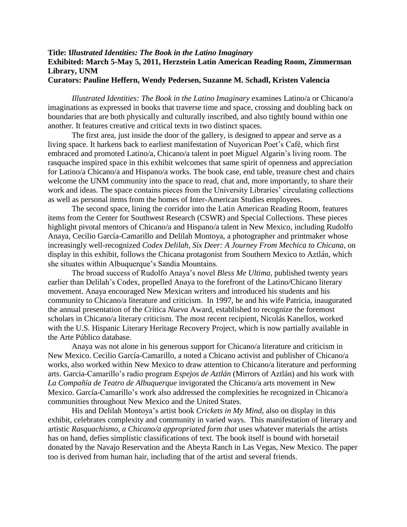## **Title: I***llustrated Identities: The Book in the Latino Imaginary* **Exhibited: March 5-May 5, 2011, Herzstein Latin American Reading Room, Zimmerman Library, UNM Curators: Pauline Heffern, Wendy Pedersen, Suzanne M. Schadl, Kristen Valencia**

*Illustrated Identities: The Book in the Latino Imaginary* examines Latino/a or Chicano/a imaginations as expressed in books that traverse time and space, crossing and doubling back on boundaries that are both physically and culturally inscribed, and also tightly bound within one another. It features creative and critical texts in two distinct spaces.

The first area, just inside the door of the gallery, is designed to appear and serve as a living space. It harkens back to earliest manifestation of Nuyorican Poet's Café, which first embraced and promoted Latino/a, Chicano/a talent in poet Miguel Algarin's living room. The rasquache inspired space in this exhibit welcomes that same spirit of openness and appreciation for Latino/a Chicano/a and Hispano/a works. The book case, end table, treasure chest and chairs welcome the UNM community into the space to read, chat and, more importantly, to share their work and ideas. The space contains pieces from the University Libraries' circulating collections as well as personal items from the homes of Inter-American Studies employees.

The second space, lining the corridor into the Latin American Reading Room, features items from the Center for Southwest Research (CSWR) and Special Collections. These pieces highlight pivotal mentors of Chicano/a and Hispano/a talent in New Mexico, including Rudolfo Anaya, Cecilio García-Camarillo and Delilah Montoya, a photographer and printmaker whose increasingly well-recognized *Codex Delilah, Six Deer: A Journey From Mechica to Chicana,* on display in this exhibit, follows the Chicana protagonist from Southern Mexico to Aztlán, which she situates within Albuquerque's Sandia Mountains.

The broad success of Rudolfo Anaya's novel *Bless Me Ultima,* published twenty years earlier than Delilah's Codex*,* propelled Anaya to the forefront of the Latino/Chicano literary movement. Anaya encouraged New Mexican writers and introduced his students and his community to Chicano/a literature and criticism. In 1997, he and his wife Patricia, inaugurated the annual presentation of the *C*rítica *Nueva* Award, established to recognize the foremost scholars in Chicano/a literary criticism. The most recent recipient, Nicolás Kanellos, worked with the U.S. Hispanic Literary Heritage Recovery Project, which is now partially available in the Arte Público database.

Anaya was not alone in his generous support for Chicano/a literature and criticism in New Mexico. Cecilio García-Camarillo, a noted a Chicano activist and publisher of Chicano/a works, also worked within New Mexico to draw attention to Chicano/a literature and performing arts. Garcia-Camarillo's radio program *Espejos de Aztlán* (Mirrors of Aztlán) and his work with *La Compañía de Teatro de Albuquerque* invigorated the Chicano/a arts movement in New Mexico. García-Camarillo's work also addressed the complexities he recognized in Chicano/a communities throughout New Mexico and the United States.

His and Delilah Montoya's artist book *Crickets in My Mind*, also on display in this exhibit, celebrates complexity and community in varied ways. This manifestation of literary and artistic *Rasquachismo, a Chicano/a appropriated form that* uses whatever materials the artists has on hand, defies simplistic classifications of text. The book itself is bound with horsetail donated by the Navajo Reservation and the Abeyta Ranch in Las Vegas, New Mexico. The paper too is derived from human hair, including that of the artist and several friends.